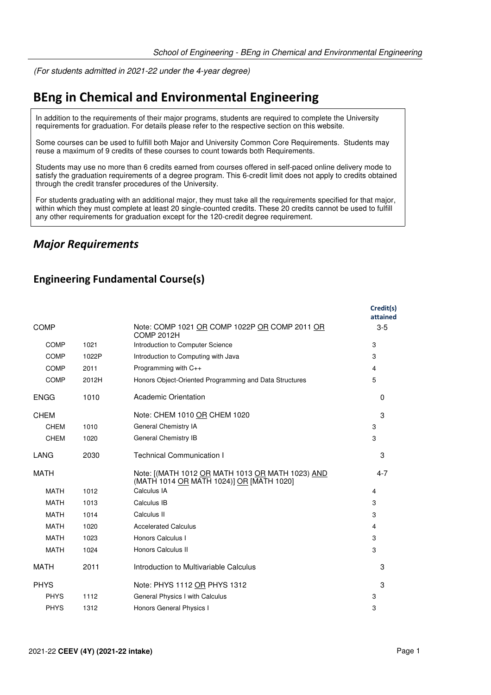(For students admitted in 2021-22 under the 4-year degree)

# **BEng in Chemical and Environmental Engineering**

In addition to the requirements of their major programs, students are required to complete the University requirements for graduation. For details please refer to the respective section on this website.

Some courses can be used to fulfill both Major and University Common Core Requirements. Students may reuse a maximum of 9 credits of these courses to count towards both Requirements.

Students may use no more than 6 credits earned from courses offered in self-paced online delivery mode to satisfy the graduation requirements of a degree program. This 6-credit limit does not apply to credits obtained through the credit transfer procedures of the University.

For students graduating with an additional major, they must take all the requirements specified for that major, within which they must complete at least 20 single-counted credits. These 20 credits cannot be used to fulfill any other requirements for graduation except for the 120-credit degree requirement.

### *Major Requirements*

#### **Engineering Fundamental Course(s)**

|             |       |                                                                                              | Credit(s)<br>attained |
|-------------|-------|----------------------------------------------------------------------------------------------|-----------------------|
| <b>COMP</b> |       | Note: COMP 1021 OR COMP 1022P OR COMP 2011 OR<br><b>COMP 2012H</b>                           | $3-5$                 |
| <b>COMP</b> | 1021  | Introduction to Computer Science                                                             | 3                     |
| <b>COMP</b> | 1022P | Introduction to Computing with Java                                                          | 3                     |
| COMP        | 2011  | Programming with C++                                                                         | 4                     |
| COMP        | 2012H | Honors Object-Oriented Programming and Data Structures                                       | 5                     |
| <b>ENGG</b> | 1010  | <b>Academic Orientation</b>                                                                  | $\Omega$              |
| <b>CHEM</b> |       | Note: CHEM 1010 OR CHEM 1020                                                                 | 3                     |
| <b>CHEM</b> | 1010  | General Chemistry IA                                                                         | 3                     |
| <b>CHEM</b> | 1020  | General Chemistry IB                                                                         | 3                     |
| LANG        | 2030  | <b>Technical Communication I</b>                                                             | 3                     |
| <b>MATH</b> |       | Note: [(MATH 1012 OR MATH 1013 OR MATH 1023) AND<br>(MATH 1014 OR MATH 1024)] OR [MATH 1020] | $4 - 7$               |
| <b>MATH</b> | 1012  | Calculus IA                                                                                  | 4                     |
| <b>MATH</b> | 1013  | Calculus IB                                                                                  | 3                     |
| <b>MATH</b> | 1014  | Calculus II                                                                                  | 3                     |
| <b>MATH</b> | 1020  | <b>Accelerated Calculus</b>                                                                  | 4                     |
| <b>MATH</b> | 1023  | Honors Calculus I                                                                            | 3                     |
| <b>MATH</b> | 1024  | Honors Calculus II                                                                           | 3                     |
| <b>MATH</b> | 2011  | Introduction to Multivariable Calculus                                                       | 3                     |
| <b>PHYS</b> |       | Note: PHYS 1112 OR PHYS 1312                                                                 | 3                     |
| <b>PHYS</b> | 1112  | General Physics I with Calculus                                                              | 3                     |
| <b>PHYS</b> | 1312  | Honors General Physics I                                                                     | 3                     |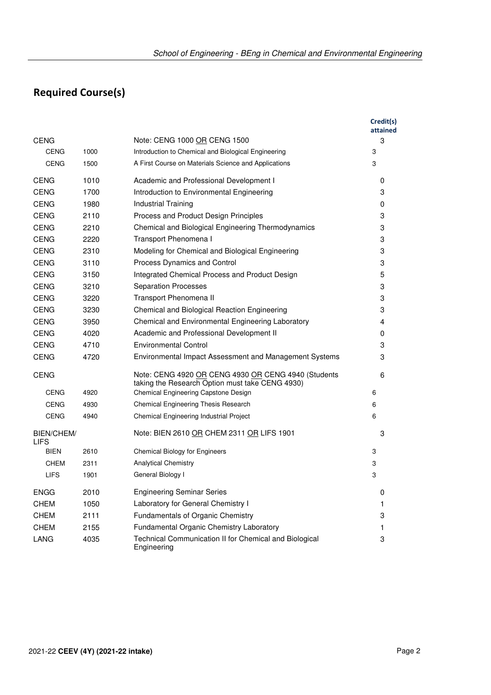# **Required Course(s)**

|                                  |      |                                                                                                        | Credit(s)<br>attained |
|----------------------------------|------|--------------------------------------------------------------------------------------------------------|-----------------------|
| <b>CENG</b>                      |      | Note: CENG 1000 OR CENG 1500                                                                           | 3                     |
| <b>CENG</b>                      | 1000 | Introduction to Chemical and Biological Engineering                                                    | 3                     |
| <b>CENG</b>                      | 1500 | A First Course on Materials Science and Applications                                                   | 3                     |
| <b>CENG</b>                      | 1010 | Academic and Professional Development I                                                                | 0                     |
| <b>CENG</b>                      | 1700 | Introduction to Environmental Engineering                                                              | 3                     |
| <b>CENG</b>                      | 1980 | Industrial Training                                                                                    | 0                     |
| <b>CENG</b>                      | 2110 | Process and Product Design Principles                                                                  | 3                     |
| <b>CENG</b>                      | 2210 | Chemical and Biological Engineering Thermodynamics                                                     | 3                     |
| <b>CENG</b>                      | 2220 | Transport Phenomena I                                                                                  | 3                     |
| <b>CENG</b>                      | 2310 | Modeling for Chemical and Biological Engineering                                                       | 3                     |
| <b>CENG</b>                      | 3110 | Process Dynamics and Control                                                                           | 3                     |
| <b>CENG</b>                      | 3150 | Integrated Chemical Process and Product Design                                                         | 5                     |
| <b>CENG</b>                      | 3210 | <b>Separation Processes</b>                                                                            | 3                     |
| <b>CENG</b>                      | 3220 | Transport Phenomena II                                                                                 | 3                     |
| <b>CENG</b>                      | 3230 | Chemical and Biological Reaction Engineering                                                           | 3                     |
| <b>CENG</b>                      | 3950 | Chemical and Environmental Engineering Laboratory                                                      | 4                     |
| <b>CENG</b>                      | 4020 | Academic and Professional Development II                                                               | 0                     |
| <b>CENG</b>                      | 4710 | <b>Environmental Control</b>                                                                           | 3                     |
| <b>CENG</b>                      | 4720 | Environmental Impact Assessment and Management Systems                                                 | 3                     |
| <b>CENG</b>                      |      | Note: CENG 4920 OR CENG 4930 OR CENG 4940 (Students<br>taking the Research Option must take CENG 4930) | 6                     |
| <b>CENG</b>                      | 4920 | Chemical Engineering Capstone Design                                                                   | 6                     |
| <b>CENG</b>                      | 4930 | Chemical Engineering Thesis Research                                                                   | 6                     |
| <b>CENG</b>                      | 4940 | Chemical Engineering Industrial Project                                                                | 6                     |
| <b>BIEN/CHEM/</b><br><b>LIFS</b> |      | Note: BIEN 2610 OR CHEM 2311 OR LIFS 1901                                                              | 3                     |
| <b>BIEN</b>                      | 2610 | <b>Chemical Biology for Engineers</b>                                                                  | 3                     |
| <b>CHEM</b>                      | 2311 | <b>Analytical Chemistry</b>                                                                            | 3                     |
| <b>LIFS</b>                      | 1901 | General Biology I                                                                                      | 3                     |
| <b>ENGG</b>                      | 2010 | <b>Engineering Seminar Series</b>                                                                      | 0                     |
| <b>CHEM</b>                      | 1050 | Laboratory for General Chemistry I                                                                     | 1                     |
| <b>CHEM</b>                      | 2111 | Fundamentals of Organic Chemistry                                                                      | 3                     |
| <b>CHEM</b>                      | 2155 | Fundamental Organic Chemistry Laboratory                                                               | 1                     |
| LANG                             | 4035 | Technical Communication II for Chemical and Biological<br>Engineering                                  | 3                     |